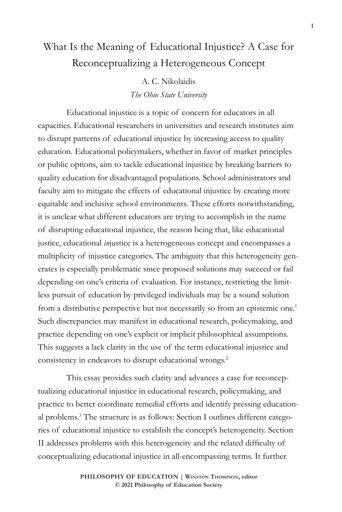# What Is the Meaning of Educational Injustice? A Case for Reconceptualizing a Heterogeneous Concept

A. C. Nikolaidis *The Ohio State University*

Educational injustice is a topic of concern for educators in all capacities. Educational researchers in universities and research institutes aim to disrupt patterns of educational injustice by increasing access to quality education. Educational policymakers, whether in favor of market principles or public options, aim to tackle educational injustice by breaking barriers to quality education for disadvantaged populations. School administrators and faculty aim to mitigate the effects of educational injustice by creating more equitable and inclusive school environments. These efforts notwithstanding, it is unclear what different educators are trying to accomplish in the name of disrupting educational injustice, the reason being that, like educational justice, educational *in*justice is a heterogeneous concept and encompasses a multiplicity of injustice categories. The ambiguity that this heterogeneity generates is especially problematic since proposed solutions may succeed or fail depending on one's criteria of evaluation. For instance, restricting the limitless pursuit of education by privileged individuals may be a sound solution from a distributive perspective but not necessarily so from an epistemic one.<sup>1</sup> Such discrepancies may manifest in educational research, policymaking, and practice depending on one's explicit or implicit philosophical assumptions. This suggests a lack clarity in the use of the term educational injustice and consistency in endeavors to disrupt educational wrongs.2

This essay provides such clarity and advances a case for reconceptualizing educational injustice in educational research, policymaking, and practice to better coordinate remedial efforts and identify pressing educational problems.3 The structure is as follows: Section I outlines different categories of educational injustice to establish the concept's heterogeneity. Section II addresses problems with this heterogeneity and the related difficulty of conceptualizing educational injustice in all-encompassing terms. It further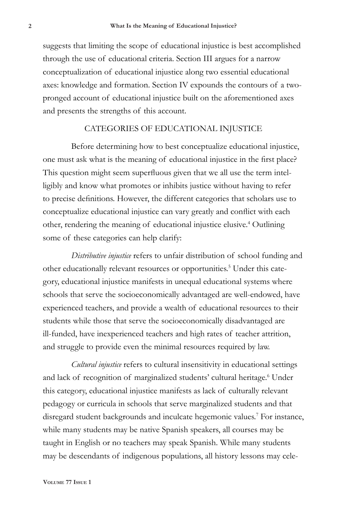suggests that limiting the scope of educational injustice is best accomplished through the use of educational criteria. Section III argues for a narrow conceptualization of educational injustice along two essential educational axes: knowledge and formation. Section IV expounds the contours of a twopronged account of educational injustice built on the aforementioned axes and presents the strengths of this account.

## CATEGORIES OF EDUCATIONAL INJUSTICE

Before determining how to best conceptualize educational injustice, one must ask what is the meaning of educational injustice in the first place? This question might seem superfluous given that we all use the term intelligibly and know what promotes or inhibits justice without having to refer to precise definitions. However, the different categories that scholars use to conceptualize educational injustice can vary greatly and conflict with each other, rendering the meaning of educational injustice elusive.<sup>4</sup> Outlining some of these categories can help clarify:

*Distributive injustice* refers to unfair distribution of school funding and other educationally relevant resources or opportunities.<sup>5</sup> Under this category, educational injustice manifests in unequal educational systems where schools that serve the socioeconomically advantaged are well-endowed, have experienced teachers, and provide a wealth of educational resources to their students while those that serve the socioeconomically disadvantaged are ill-funded, have inexperienced teachers and high rates of teacher attrition, and struggle to provide even the minimal resources required by law.

*Cultural injustice* refers to cultural insensitivity in educational settings and lack of recognition of marginalized students' cultural heritage.<sup>6</sup> Under this category, educational injustice manifests as lack of culturally relevant pedagogy or curricula in schools that serve marginalized students and that disregard student backgrounds and inculcate hegemonic values.7 For instance, while many students may be native Spanish speakers, all courses may be taught in English or no teachers may speak Spanish. While many students may be descendants of indigenous populations, all history lessons may cele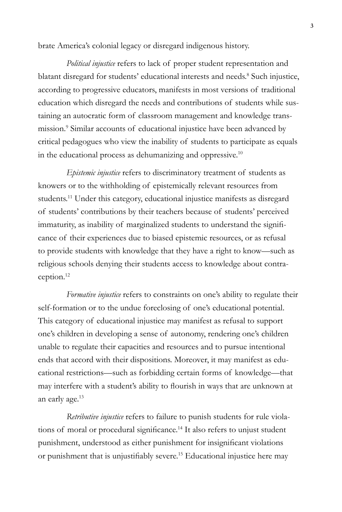brate America's colonial legacy or disregard indigenous history.

*Political injustice* refers to lack of proper student representation and blatant disregard for students' educational interests and needs.<sup>8</sup> Such injustice, according to progressive educators, manifests in most versions of traditional education which disregard the needs and contributions of students while sustaining an autocratic form of classroom management and knowledge transmission.<sup>9</sup> Similar accounts of educational injustice have been advanced by critical pedagogues who view the inability of students to participate as equals in the educational process as dehumanizing and oppressive.<sup>10</sup>

*Epistemic injustice* refers to discriminatory treatment of students as knowers or to the withholding of epistemically relevant resources from students.11 Under this category, educational injustice manifests as disregard of students' contributions by their teachers because of students' perceived immaturity, as inability of marginalized students to understand the significance of their experiences due to biased epistemic resources, or as refusal to provide students with knowledge that they have a right to know—such as religious schools denying their students access to knowledge about contraception.12

*Formative injustice* refers to constraints on one's ability to regulate their self-formation or to the undue foreclosing of one's educational potential. This category of educational injustice may manifest as refusal to support one's children in developing a sense of autonomy, rendering one's children unable to regulate their capacities and resources and to pursue intentional ends that accord with their dispositions. Moreover, it may manifest as educational restrictions—such as forbidding certain forms of knowledge—that may interfere with a student's ability to flourish in ways that are unknown at an early age.<sup>13</sup>

*Retributive injustice* refers to failure to punish students for rule violations of moral or procedural significance.<sup>14</sup> It also refers to unjust student punishment, understood as either punishment for insignificant violations or punishment that is unjustifiably severe.15 Educational injustice here may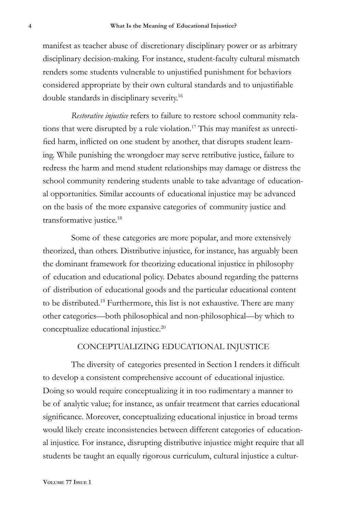manifest as teacher abuse of discretionary disciplinary power or as arbitrary disciplinary decision-making. For instance, student-faculty cultural mismatch renders some students vulnerable to unjustified punishment for behaviors considered appropriate by their own cultural standards and to unjustifiable double standards in disciplinary severity.16

*Restorative injustice* refers to failure to restore school community relations that were disrupted by a rule violation.<sup>17</sup> This may manifest as unrectified harm, inflicted on one student by another, that disrupts student learning. While punishing the wrongdoer may serve retributive justice, failure to redress the harm and mend student relationships may damage or distress the school community rendering students unable to take advantage of educational opportunities. Similar accounts of educational injustice may be advanced on the basis of the more expansive categories of community justice and transformative justice.18

Some of these categories are more popular, and more extensively theorized, than others. Distributive injustice, for instance, has arguably been the dominant framework for theorizing educational injustice in philosophy of education and educational policy. Debates abound regarding the patterns of distribution of educational goods and the particular educational content to be distributed.19 Furthermore, this list is not exhaustive. There are many other categories—both philosophical and non-philosophical—by which to conceptualize educational injustice.20

## CONCEPTUALIZING EDUCATIONAL INJUSTICE

The diversity of categories presented in Section I renders it difficult to develop a consistent comprehensive account of educational injustice. Doing so would require conceptualizing it in too rudimentary a manner to be of analytic value; for instance, as unfair treatment that carries educational significance. Moreover, conceptualizing educational injustice in broad terms would likely create inconsistencies between different categories of educational injustice. For instance, disrupting distributive injustice might require that all students be taught an equally rigorous curriculum, cultural injustice a cultur-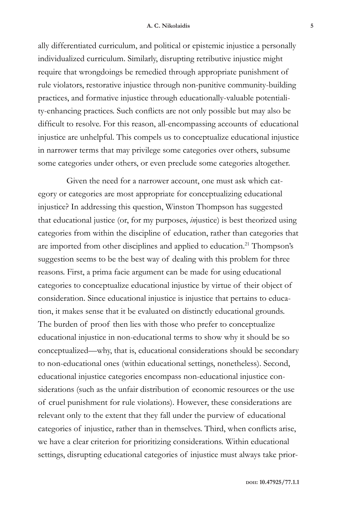#### **A. C. Nikolaidis 5**

ally differentiated curriculum, and political or epistemic injustice a personally individualized curriculum. Similarly, disrupting retributive injustice might require that wrongdoings be remedied through appropriate punishment of rule violators, restorative injustice through non-punitive community-building practices, and formative injustice through educationally-valuable potentiality-enhancing practices. Such conflicts are not only possible but may also be difficult to resolve. For this reason, all-encompassing accounts of educational injustice are unhelpful. This compels us to conceptualize educational injustice in narrower terms that may privilege some categories over others, subsume some categories under others, or even preclude some categories altogether.

Given the need for a narrower account, one must ask which category or categories are most appropriate for conceptualizing educational injustice? In addressing this question, Winston Thompson has suggested that educational justice (or, for my purposes, *in*justice) is best theorized using categories from within the discipline of education, rather than categories that are imported from other disciplines and applied to education.<sup>21</sup> Thompson's suggestion seems to be the best way of dealing with this problem for three reasons. First, a prima facie argument can be made for using educational categories to conceptualize educational injustice by virtue of their object of consideration. Since educational injustice is injustice that pertains to education, it makes sense that it be evaluated on distinctly educational grounds. The burden of proof then lies with those who prefer to conceptualize educational injustice in non-educational terms to show why it should be so conceptualized—why, that is, educational considerations should be secondary to non-educational ones (within educational settings, nonetheless). Second, educational injustice categories encompass non-educational injustice considerations (such as the unfair distribution of economic resources or the use of cruel punishment for rule violations). However, these considerations are relevant only to the extent that they fall under the purview of educational categories of injustice, rather than in themselves. Third, when conflicts arise, we have a clear criterion for prioritizing considerations. Within educational settings, disrupting educational categories of injustice must always take prior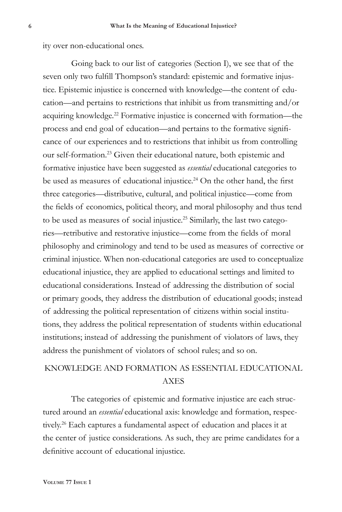ity over non-educational ones.

Going back to our list of categories (Section I), we see that of the seven only two fulfill Thompson's standard: epistemic and formative injustice. Epistemic injustice is concerned with knowledge—the content of education—and pertains to restrictions that inhibit us from transmitting and/or acquiring knowledge.22 Formative injustice is concerned with formation—the process and end goal of education—and pertains to the formative significance of our experiences and to restrictions that inhibit us from controlling our self-formation.23 Given their educational nature, both epistemic and formative injustice have been suggested as *essential* educational categories to be used as measures of educational injustice.<sup>24</sup> On the other hand, the first three categories—distributive, cultural, and political injustice—come from the fields of economics, political theory, and moral philosophy and thus tend to be used as measures of social injustice.<sup>25</sup> Similarly, the last two categories—retributive and restorative injustice—come from the fields of moral philosophy and criminology and tend to be used as measures of corrective or criminal injustice. When non-educational categories are used to conceptualize educational injustice, they are applied to educational settings and limited to educational considerations. Instead of addressing the distribution of social or primary goods, they address the distribution of educational goods; instead of addressing the political representation of citizens within social institutions, they address the political representation of students within educational institutions; instead of addressing the punishment of violators of laws, they address the punishment of violators of school rules; and so on.

## KNOWLEDGE AND FORMATION AS ESSENTIAL EDUCATIONAL AXES

The categories of epistemic and formative injustice are each structured around an *essential* educational axis: knowledge and formation, respectively.<sup>26</sup> Each captures a fundamental aspect of education and places it at the center of justice considerations. As such, they are prime candidates for a definitive account of educational injustice.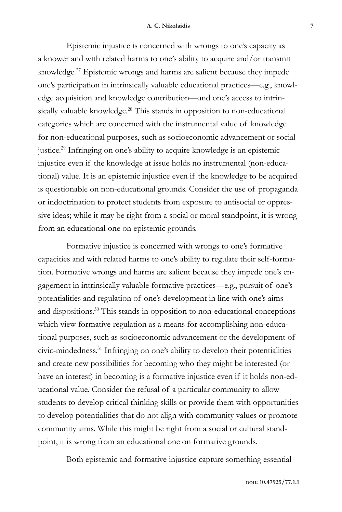Epistemic injustice is concerned with wrongs to one's capacity as a knower and with related harms to one's ability to acquire and/or transmit knowledge.27 Epistemic wrongs and harms are salient because they impede one's participation in intrinsically valuable educational practices—e.g., knowledge acquisition and knowledge contribution—and one's access to intrinsically valuable knowledge.<sup>28</sup> This stands in opposition to non-educational categories which are concerned with the instrumental value of knowledge for non-educational purposes, such as socioeconomic advancement or social justice.29 Infringing on one's ability to acquire knowledge is an epistemic injustice even if the knowledge at issue holds no instrumental (non-educational) value. It is an epistemic injustice even if the knowledge to be acquired is questionable on non-educational grounds. Consider the use of propaganda or indoctrination to protect students from exposure to antisocial or oppressive ideas; while it may be right from a social or moral standpoint, it is wrong from an educational one on epistemic grounds.

Formative injustice is concerned with wrongs to one's formative capacities and with related harms to one's ability to regulate their self-formation. Formative wrongs and harms are salient because they impede one's engagement in intrinsically valuable formative practices—e.g., pursuit of one's potentialities and regulation of one's development in line with one's aims and dispositions.30 This stands in opposition to non-educational conceptions which view formative regulation as a means for accomplishing non-educational purposes, such as socioeconomic advancement or the development of civic-mindedness.31 Infringing on one's ability to develop their potentialities and create new possibilities for becoming who they might be interested (or have an interest) in becoming is a formative injustice even if it holds non-educational value. Consider the refusal of a particular community to allow students to develop critical thinking skills or provide them with opportunities to develop potentialities that do not align with community values or promote community aims. While this might be right from a social or cultural standpoint, it is wrong from an educational one on formative grounds.

Both epistemic and formative injustice capture something essential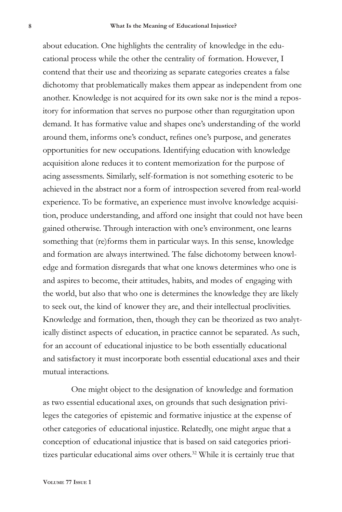about education. One highlights the centrality of knowledge in the educational process while the other the centrality of formation. However, I contend that their use and theorizing as separate categories creates a false dichotomy that problematically makes them appear as independent from one another. Knowledge is not acquired for its own sake nor is the mind a repository for information that serves no purpose other than regurgitation upon demand. It has formative value and shapes one's understanding of the world around them, informs one's conduct, refines one's purpose, and generates opportunities for new occupations. Identifying education with knowledge acquisition alone reduces it to content memorization for the purpose of acing assessments. Similarly, self-formation is not something esoteric to be achieved in the abstract nor a form of introspection severed from real-world experience. To be formative, an experience must involve knowledge acquisition, produce understanding, and afford one insight that could not have been gained otherwise. Through interaction with one's environment, one learns something that (re)forms them in particular ways. In this sense, knowledge and formation are always intertwined. The false dichotomy between knowledge and formation disregards that what one knows determines who one is and aspires to become, their attitudes, habits, and modes of engaging with the world, but also that who one is determines the knowledge they are likely to seek out, the kind of knower they are, and their intellectual proclivities. Knowledge and formation, then, though they can be theorized as two analytically distinct aspects of education, in practice cannot be separated. As such, for an account of educational injustice to be both essentially educational and satisfactory it must incorporate both essential educational axes and their mutual interactions.

One might object to the designation of knowledge and formation as two essential educational axes, on grounds that such designation privileges the categories of epistemic and formative injustice at the expense of other categories of educational injustice. Relatedly, one might argue that a conception of educational injustice that is based on said categories prioritizes particular educational aims over others.<sup>32</sup> While it is certainly true that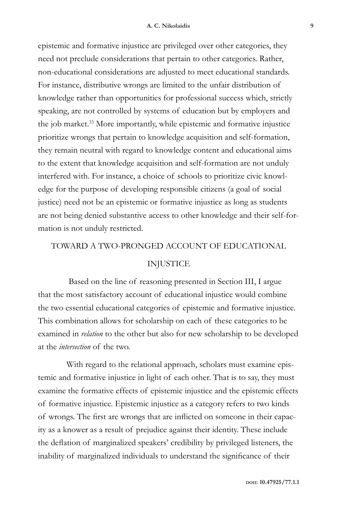epistemic and formative injustice are privileged over other categories, they need not preclude considerations that pertain to other categories. Rather, non-educational considerations are adjusted to meet educational standards. For instance, distributive wrongs are limited to the unfair distribution of knowledge rather than opportunities for professional success which, strictly speaking, are not controlled by systems of education but by employers and the job market.<sup>33</sup> More importantly, while epistemic and formative injustice prioritize wrongs that pertain to knowledge acquisition and self-formation, they remain neutral with regard to knowledge content and educational aims to the extent that knowledge acquisition and self-formation are not unduly interfered with. For instance, a choice of schools to prioritize civic knowledge for the purpose of developing responsible citizens (a goal of social justice) need not be an epistemic or formative injustice as long as students are not being denied substantive access to other knowledge and their self-formation is not unduly restricted.

### TOWARD A TWO-PRONGED ACCOUNT OF EDUCATIONAL

## INJUSTICE

 Based on the line of reasoning presented in Section III, I argue that the most satisfactory account of educational injustice would combine the two essential educational categories of epistemic and formative injustice. This combination allows for scholarship on each of these categories to be examined in *relation* to the other but also for new scholarship to be developed at the *intersection* of the two.

With regard to the relational approach, scholars must examine epistemic and formative injustice in light of each other. That is to say, they must examine the formative effects of epistemic injustice and the epistemic effects of formative injustice. Epistemic injustice as a category refers to two kinds of wrongs. The first are wrongs that are inflicted on someone in their capacity as a knower as a result of prejudice against their identity. These include the deflation of marginalized speakers' credibility by privileged listeners, the inability of marginalized individuals to understand the significance of their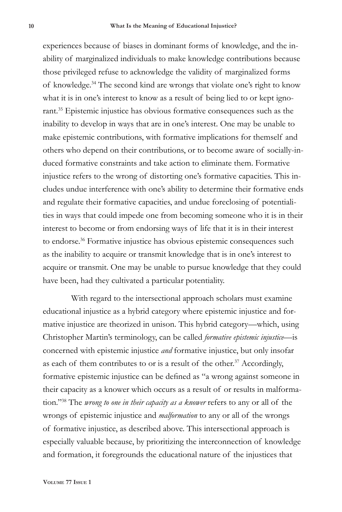experiences because of biases in dominant forms of knowledge, and the inability of marginalized individuals to make knowledge contributions because those privileged refuse to acknowledge the validity of marginalized forms of knowledge.34 The second kind are wrongs that violate one's right to know what it is in one's interest to know as a result of being lied to or kept ignorant.<sup>35</sup> Epistemic injustice has obvious formative consequences such as the inability to develop in ways that are in one's interest. One may be unable to make epistemic contributions, with formative implications for themself and others who depend on their contributions, or to become aware of socially-induced formative constraints and take action to eliminate them. Formative injustice refers to the wrong of distorting one's formative capacities. This includes undue interference with one's ability to determine their formative ends and regulate their formative capacities, and undue foreclosing of potentialities in ways that could impede one from becoming someone who it is in their interest to become or from endorsing ways of life that it is in their interest to endorse.<sup>36</sup> Formative injustice has obvious epistemic consequences such as the inability to acquire or transmit knowledge that is in one's interest to acquire or transmit. One may be unable to pursue knowledge that they could have been, had they cultivated a particular potentiality.

With regard to the intersectional approach scholars must examine educational injustice as a hybrid category where epistemic injustice and formative injustice are theorized in unison. This hybrid category—which, using Christopher Martin's terminology, can be called *formative epistemic injustice*—is concerned with epistemic injustice *and* formative injustice, but only insofar as each of them contributes to or is a result of the other.<sup>37</sup> Accordingly, formative epistemic injustice can be defined as "a wrong against someone in their capacity as a knower which occurs as a result of or results in malformation."38 The *wrong to one in their capacity as a knower* refers to any or all of the wrongs of epistemic injustice and *malformation* to any or all of the wrongs of formative injustice, as described above. This intersectional approach is especially valuable because, by prioritizing the interconnection of knowledge and formation, it foregrounds the educational nature of the injustices that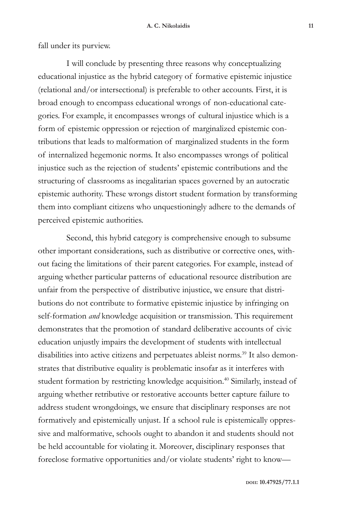fall under its purview.

I will conclude by presenting three reasons why conceptualizing educational injustice as the hybrid category of formative epistemic injustice (relational and/or intersectional) is preferable to other accounts. First, it is broad enough to encompass educational wrongs of non-educational categories. For example, it encompasses wrongs of cultural injustice which is a form of epistemic oppression or rejection of marginalized epistemic contributions that leads to malformation of marginalized students in the form of internalized hegemonic norms. It also encompasses wrongs of political injustice such as the rejection of students' epistemic contributions and the structuring of classrooms as inegalitarian spaces governed by an autocratic epistemic authority. These wrongs distort student formation by transforming them into compliant citizens who unquestioningly adhere to the demands of perceived epistemic authorities.

Second, this hybrid category is comprehensive enough to subsume other important considerations, such as distributive or corrective ones, without facing the limitations of their parent categories. For example, instead of arguing whether particular patterns of educational resource distribution are unfair from the perspective of distributive injustice, we ensure that distributions do not contribute to formative epistemic injustice by infringing on self-formation *and* knowledge acquisition or transmission. This requirement demonstrates that the promotion of standard deliberative accounts of civic education unjustly impairs the development of students with intellectual disabilities into active citizens and perpetuates ableist norms.<sup>39</sup> It also demonstrates that distributive equality is problematic insofar as it interferes with student formation by restricting knowledge acquisition.<sup>40</sup> Similarly, instead of arguing whether retributive or restorative accounts better capture failure to address student wrongdoings, we ensure that disciplinary responses are not formatively and epistemically unjust. If a school rule is epistemically oppressive and malformative, schools ought to abandon it and students should not be held accountable for violating it. Moreover, disciplinary responses that foreclose formative opportunities and/or violate students' right to know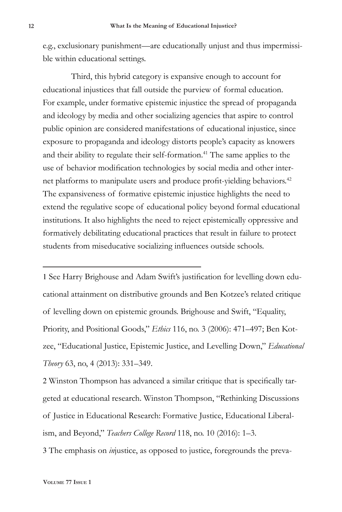e.g., exclusionary punishment—are educationally unjust and thus impermissible within educational settings.

Third, this hybrid category is expansive enough to account for educational injustices that fall outside the purview of formal education. For example, under formative epistemic injustice the spread of propaganda and ideology by media and other socializing agencies that aspire to control public opinion are considered manifestations of educational injustice, since exposure to propaganda and ideology distorts people's capacity as knowers and their ability to regulate their self-formation.<sup>41</sup> The same applies to the use of behavior modification technologies by social media and other internet platforms to manipulate users and produce profit-yielding behaviors.<sup>42</sup> The expansiveness of formative epistemic injustice highlights the need to extend the regulative scope of educational policy beyond formal educational institutions. It also highlights the need to reject epistemically oppressive and formatively debilitating educational practices that result in failure to protect students from miseducative socializing influences outside schools.

1 See Harry Brighouse and Adam Swift's justification for levelling down educational attainment on distributive grounds and Ben Kotzee's related critique of levelling down on epistemic grounds. Brighouse and Swift, "Equality, Priority, and Positional Goods," *Ethics* 116, no. 3 (2006): 471–497; Ben Kotzee, "Educational Justice, Epistemic Justice, and Levelling Down," *Educational Theory* 63, no, 4 (2013): 331–349.

2 Winston Thompson has advanced a similar critique that is specifically targeted at educational research. Winston Thompson, "Rethinking Discussions of Justice in Educational Research: Formative Justice, Educational Liberalism, and Beyond," *Teachers College Record* 118, no. 10 (2016): 1–3.

3 The emphasis on *in*justice, as opposed to justice, foregrounds the preva-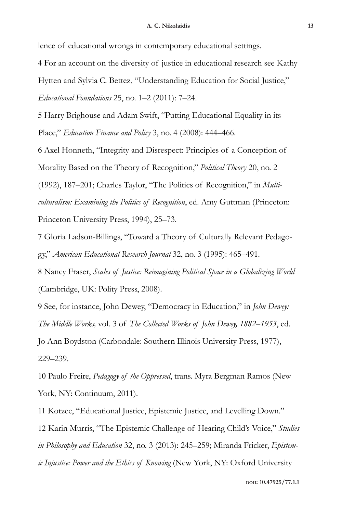lence of educational wrongs in contemporary educational settings.

4 For an account on the diversity of justice in educational research see Kathy Hytten and Sylvia C. Bettez, "Understanding Education for Social Justice," *Educational Foundations* 25, no. 1–2 (2011): 7–24.

5 Harry Brighouse and Adam Swift, "Putting Educational Equality in its Place," *Education Finance and Policy* 3, no. 4 (2008): 444–466.

6 Axel Honneth, "Integrity and Disrespect: Principles of a Conception of Morality Based on the Theory of Recognition," *Political Theory* 20, no. 2

(1992), 187–201; Charles Taylor, "The Politics of Recognition," in *Multiculturalism: Examining the Politics of Recognition*, ed. Amy Guttman (Princeton: Princeton University Press, 1994), 25–73.

7 Gloria Ladson-Billings, "Toward a Theory of Culturally Relevant Pedagogy," *American Educational Research Journal* 32, no. 3 (1995): 465–491.

8 Nancy Fraser, *Scales of Justice: Reimagining Political Space in a Globalizing World* (Cambridge, UK: Polity Press, 2008).

9 See, for instance, John Dewey, "Democracy in Education," in *John Dewey: The Middle Works,* vol. 3 of *The Collected Works of John Dewey, 1882–1953*, ed. Jo Ann Boydston (Carbondale: Southern Illinois University Press, 1977), 229–239.

10 Paulo Freire, *Pedagogy of the Oppressed*, trans. Myra Bergman Ramos (New York, NY: Continuum, 2011).

11 Kotzee, "Educational Justice, Epistemic Justice, and Levelling Down." 12 Karin Murris, "The Epistemic Challenge of Hearing Child's Voice," *Studies in Philosophy and Education* 32, no. 3 (2013): 245–259; Miranda Fricker, *Epistemic Injustice: Power and the Ethics of Knowing* (New York, NY: Oxford University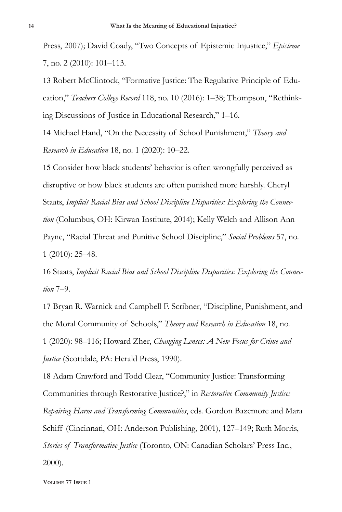Press, 2007); David Coady, "Two Concepts of Epistemic Injustice," *Episteme* 7, no. 2 (2010): 101–113.

13 Robert McClintock, "Formative Justice: The Regulative Principle of Education," *Teachers College Record* 118, no. 10 (2016): 1–38; Thompson, "Rethinking Discussions of Justice in Educational Research," 1–16.

14 Michael Hand, "On the Necessity of School Punishment," *Theory and Research in Education* 18, no. 1 (2020): 10–22.

15 Consider how black students' behavior is often wrongfully perceived as disruptive or how black students are often punished more harshly. Cheryl Staats, *Implicit Racial Bias and School Discipline Disparities: Exploring the Connection* (Columbus, OH: Kirwan Institute, 2014); Kelly Welch and Allison Ann Payne, "Racial Threat and Punitive School Discipline," *Social Problems* 57, no. 1 (2010): 25–48.

16 Staats, *Implicit Racial Bias and School Discipline Disparities: Exploring the Connection* 7–9.

17 Bryan R. Warnick and Campbell F. Scribner, "Discipline, Punishment, and the Moral Community of Schools," *Theory and Research in Education* 18, no. 1 (2020): 98–116; Howard Zher, *Changing Lenses: A New Focus for Crime and Justice* (Scottdale, PA: Herald Press, 1990).

18 Adam Crawford and Todd Clear, "Community Justice: Transforming Communities through Restorative Justice?," in *Restorative Community Justice: Repairing Harm and Transforming Communities*, eds. Gordon Bazemore and Mara Schiff (Cincinnati, OH: Anderson Publishing, 2001), 127–149; Ruth Morris, *Stories of Transformative Justice* (Toronto, ON: Canadian Scholars' Press Inc., 2000).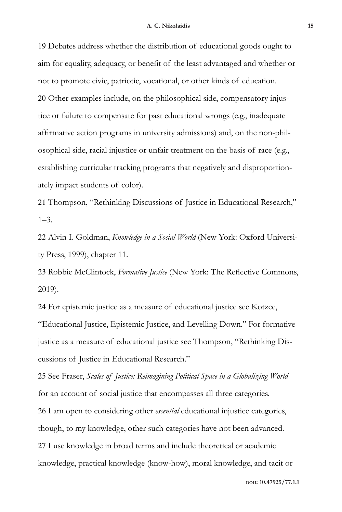19 Debates address whether the distribution of educational goods ought to aim for equality, adequacy, or benefit of the least advantaged and whether or not to promote civic, patriotic, vocational, or other kinds of education. 20 Other examples include, on the philosophical side, compensatory injustice or failure to compensate for past educational wrongs (e.g., inadequate affirmative action programs in university admissions) and, on the non-philosophical side, racial injustice or unfair treatment on the basis of race (e.g., establishing curricular tracking programs that negatively and disproportionately impact students of color).

21 Thompson, "Rethinking Discussions of Justice in Educational Research,"  $1 - 3$ .

22 Alvin I. Goldman, *Knowledge in a Social World* (New York: Oxford University Press, 1999), chapter 11.

23 Robbie McClintock, *Formative Justice* (New York: The Reflective Commons, 2019).

24 For epistemic justice as a measure of educational justice see Kotzee, "Educational Justice, Epistemic Justice, and Levelling Down." For formative justice as a measure of educational justice see Thompson, "Rethinking Discussions of Justice in Educational Research."

25 See Fraser, *Scales of Justice: Reimagining Political Space in a Globalizing World* for an account of social justice that encompasses all three categories. 26 I am open to considering other *essential* educational injustice categories, though, to my knowledge, other such categories have not been advanced. 27 I use knowledge in broad terms and include theoretical or academic knowledge, practical knowledge (know-how), moral knowledge, and tacit or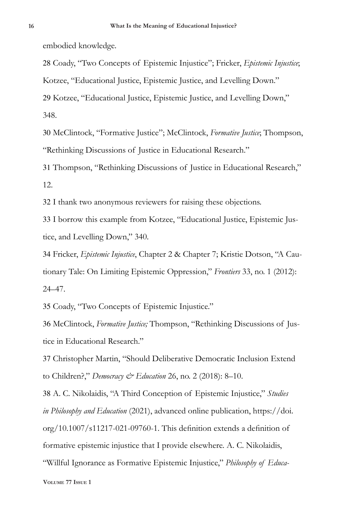embodied knowledge.

28 Coady, "Two Concepts of Epistemic Injustice"; Fricker, *Epistemic Injustice*;

Kotzee, "Educational Justice, Epistemic Justice, and Levelling Down."

29 Kotzee, "Educational Justice, Epistemic Justice, and Levelling Down,"

348.

30 McClintock, "Formative Justice"; McClintock, *Formative Justice*; Thompson, "Rethinking Discussions of Justice in Educational Research."

31 Thompson, "Rethinking Discussions of Justice in Educational Research," 12.

32 I thank two anonymous reviewers for raising these objections.

33 I borrow this example from Kotzee, "Educational Justice, Epistemic Justice, and Levelling Down," 340.

34 Fricker, *Epistemic Injustice*, Chapter 2 & Chapter 7; Kristie Dotson, "A Cautionary Tale: On Limiting Epistemic Oppression," *Frontiers* 33, no. 1 (2012): 24–47.

35 Coady, "Two Concepts of Epistemic Injustice."

36 McClintock, *Formative Justice;* Thompson, "Rethinking Discussions of Justice in Educational Research."

37 Christopher Martin, "Should Deliberative Democratic Inclusion Extend to Children?," *Democracy & Education* 26, no. 2 (2018): 8–10.

38 A. C. Nikolaidis, "A Third Conception of Epistemic Injustice," *Studies in Philosophy and Education* (2021), advanced online publication, https://doi. org/10.1007/s11217-021-09760-1. This definition extends a definition of formative epistemic injustice that I provide elsewhere. A. C. Nikolaidis, "Willful Ignorance as Formative Epistemic Injustice," *Philosophy of Educa-*